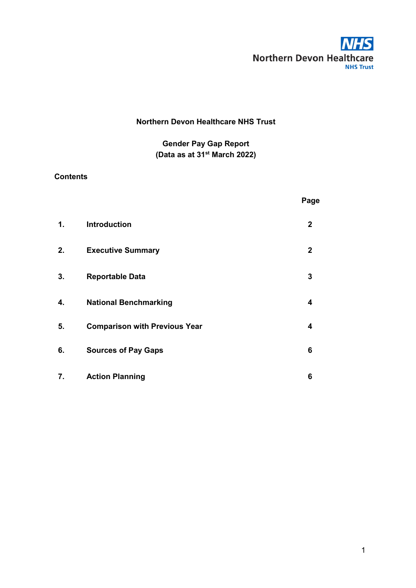

# **Northern Devon Healthcare NHS Trust**

# **Gender Pay Gap Report (Data as at 31st March 2022)**

# **Contents**

|               |                                      | Page         |
|---------------|--------------------------------------|--------------|
| $\mathbf 1$ . | <b>Introduction</b>                  | $\mathbf{2}$ |
| 2.            | <b>Executive Summary</b>             | $\mathbf 2$  |
| 3.            | <b>Reportable Data</b>               | 3            |
| 4.            | <b>National Benchmarking</b>         | 4            |
| 5.            | <b>Comparison with Previous Year</b> | 4            |
| 6.            | <b>Sources of Pay Gaps</b>           | 6            |
| 7.            | <b>Action Planning</b>               | 6            |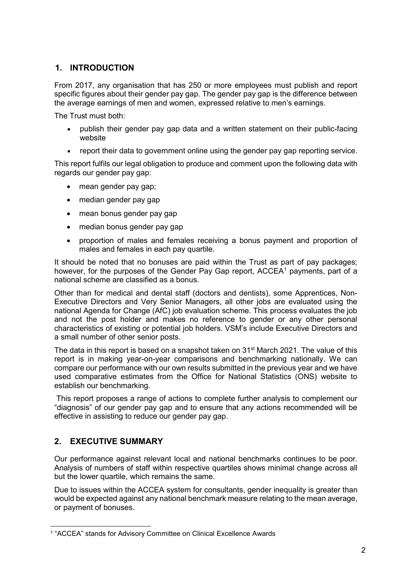# **1. INTRODUCTION**

From 2017, any organisation that has 250 or more employees must publish and report specific figures about their gender pay gap. The gender pay gap is the difference between the average earnings of men and women, expressed relative to men's earnings.

The Trust must both:

- publish their gender pay gap data and a written statement on their public-facing website
- report their data to government online using the gender pay gap reporting service.

This report fulfils our legal obligation to produce and comment upon the following data with regards our gender pay gap:

- mean gender pay gap;
- median gender pay gap
- mean bonus gender pay gap
- median bonus gender pay gap
- proportion of males and females receiving a bonus payment and proportion of males and females in each pay quartile.

It should be noted that no bonuses are paid within the Trust as part of pay packages; however, for the purposes of the Gender Pay Gap report, ACCEA<sup>[1](#page-1-0)</sup> payments, part of a national scheme are classified as a bonus.

Other than for medical and dental staff (doctors and dentists), some Apprentices, Non-Executive Directors and Very Senior Managers, all other jobs are evaluated using the national Agenda for Change (AfC) job evaluation scheme. This process evaluates the job and not the post holder and makes no reference to gender or any other personal characteristics of existing or potential job holders. VSM's include Executive Directors and a small number of other senior posts.

The data in this report is based on a snapshot taken on 31<sup>st</sup> March 2021. The value of this report is in making year-on-year comparisons and benchmarking nationally. We can compare our performance with our own results submitted in the previous year and we have used comparative estimates from the Office for National Statistics (ONS) website to establish our benchmarking.

This report proposes a range of actions to complete further analysis to complement our "diagnosis" of our gender pay gap and to ensure that any actions recommended will be effective in assisting to reduce our gender pay gap.

# **2. EXECUTIVE SUMMARY**

Our performance against relevant local and national benchmarks continues to be poor. Analysis of numbers of staff within respective quartiles shows minimal change across all but the lower quartile, which remains the same.

Due to issues within the ACCEA system for consultants, gender inequality is greater than would be expected against any national benchmark measure relating to the mean average, or payment of bonuses.

<span id="page-1-0"></span> <sup>1</sup> "ACCEA" stands for Advisory Committee on Clinical Excellence Awards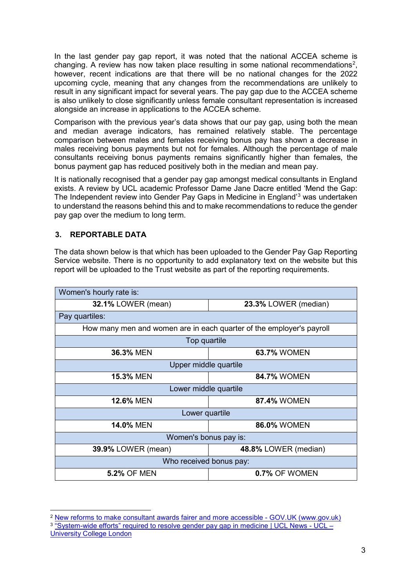In the last gender pay gap report, it was noted that the national ACCEA scheme is changing. A review has now taken place resulting in some national recommendations<sup>[2](#page-2-0)</sup>, however, recent indications are that there will be no national changes for the 2022 upcoming cycle, meaning that any changes from the recommendations are unlikely to result in any significant impact for several years. The pay gap due to the ACCEA scheme is also unlikely to close significantly unless female consultant representation is increased alongside an increase in applications to the ACCEA scheme.

Comparison with the previous year's data shows that our pay gap, using both the mean and median average indicators, has remained relatively stable. The percentage comparison between males and females receiving bonus pay has shown a decrease in males receiving bonus payments but not for females. Although the percentage of male consultants receiving bonus payments remains significantly higher than females, the bonus payment gap has reduced positively both in the median and mean pay.

It is nationally recognised that a gender pay gap amongst medical consultants in England exists. A review by UCL academic Professor Dame Jane Dacre entitled 'Mend the Gap: The Independent review into Gender Pay Gaps in Medicine in England'[3](#page-2-1) was undertaken to understand the reasons behind this and to make recommendations to reduce the gender pay gap over the medium to long term.

#### **3. REPORTABLE DATA**

The data shown below is that which has been uploaded to the Gender Pay Gap Reporting Service website. There is no opportunity to add explanatory text on the website but this report will be uploaded to the Trust website as part of the reporting requirements.

| Women's hourly rate is:                                              |                      |  |  |  |
|----------------------------------------------------------------------|----------------------|--|--|--|
| <b>32.1% LOWER (mean)</b>                                            | 23.3% LOWER (median) |  |  |  |
| Pay quartiles:                                                       |                      |  |  |  |
| How many men and women are in each quarter of the employer's payroll |                      |  |  |  |
| Top quartile                                                         |                      |  |  |  |
| 36.3% MEN                                                            | <b>63.7% WOMEN</b>   |  |  |  |
| Upper middle quartile                                                |                      |  |  |  |
| <b>15.3% MEN</b><br><b>84.7% WOMEN</b>                               |                      |  |  |  |
| Lower middle quartile                                                |                      |  |  |  |
| <b>12.6% MEN</b>                                                     | 87.4% WOMEN          |  |  |  |
| Lower quartile                                                       |                      |  |  |  |
| <b>14.0% MEN</b>                                                     | <b>86.0% WOMEN</b>   |  |  |  |
| Women's bonus pay is:                                                |                      |  |  |  |
| <b>39.9% LOWER (mean)</b><br>48.8% LOWER (median)                    |                      |  |  |  |
| Who received bonus pay:                                              |                      |  |  |  |
| <b>5.2% OF MEN</b><br>0.7% OF WOMEN                                  |                      |  |  |  |

<span id="page-2-1"></span><span id="page-2-0"></span> <sup>2</sup> [New reforms to make consultant awards fairer and more accessible -](https://www.gov.uk/government/news/new-reforms-to-make-consultant-awards-fairer-and-more-accessible) GOV.UK (www.gov.uk) <sup>3</sup> ["System-wide efforts" required to resolve gender pay gap in medicine | UCL News -](https://www.ucl.ac.uk/news/2020/dec/system-wide-efforts-required-resolve-gender-pay-gap-medicine) UCL – [University College London](https://www.ucl.ac.uk/news/2020/dec/system-wide-efforts-required-resolve-gender-pay-gap-medicine)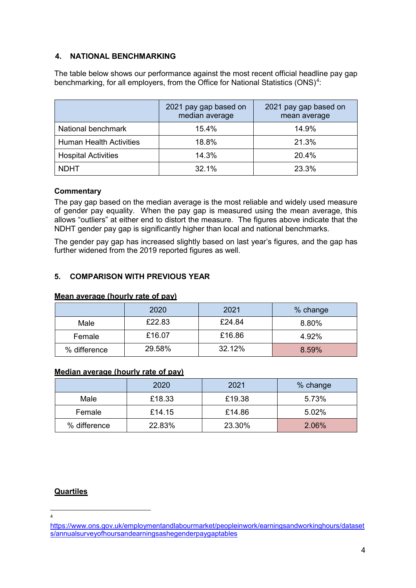#### **4. NATIONAL BENCHMARKING**

The table below shows our performance against the most recent official headline pay gap benchmarking, for all employers, from the Office for National Statistics (ONS) $^4$  $^4$ :

|                                | 2021 pay gap based on<br>median average | 2021 pay gap based on<br>mean average |
|--------------------------------|-----------------------------------------|---------------------------------------|
| National benchmark             | $15.4\%$                                | 14.9%                                 |
| <b>Human Health Activities</b> | 18.8%                                   | 21.3%                                 |
| <b>Hospital Activities</b>     | 14.3%                                   | 20.4%                                 |
| <b>NDHT</b>                    | 32.1%                                   | 23.3%                                 |

#### **Commentary**

The pay gap based on the median average is the most reliable and widely used measure of gender pay equality. When the pay gap is measured using the mean average, this allows "outliers" at either end to distort the measure. The figures above indicate that the NDHT gender pay gap is significantly higher than local and national benchmarks.

The gender pay gap has increased slightly based on last year's figures, and the gap has further widened from the 2019 reported figures as well.

## **5. COMPARISON WITH PREVIOUS YEAR**

#### **Mean average (hourly rate of pay)**

|              | 2020   | 2021   | % change |
|--------------|--------|--------|----------|
| Male         | £22.83 | £24.84 | 8.80%    |
| Female       | £16.07 | £16.86 | 4.92%    |
| % difference | 29.58% | 32.12% | 8.59%    |

#### **Median average (hourly rate of pay)**

|              | 2020   | 2021   | % change |
|--------------|--------|--------|----------|
| Male         | £18.33 | £19.38 | 5.73%    |
| Female       | £14.15 | £14.86 | 5.02%    |
| % difference | 22.83% | 23.30% | 2.06%    |

#### **Quartiles**

 $\frac{1}{4}$  $\overline{A}$ 

<span id="page-3-0"></span>[https://www.ons.gov.uk/employmentandlabourmarket/peopleinwork/earningsandworkinghours/dataset](https://www.ons.gov.uk/employmentandlabourmarket/peopleinwork/earningsandworkinghours/datasets/annualsurveyofhoursandearningsashegenderpaygaptables) [s/annualsurveyofhoursandearningsashegenderpaygaptables](https://www.ons.gov.uk/employmentandlabourmarket/peopleinwork/earningsandworkinghours/datasets/annualsurveyofhoursandearningsashegenderpaygaptables)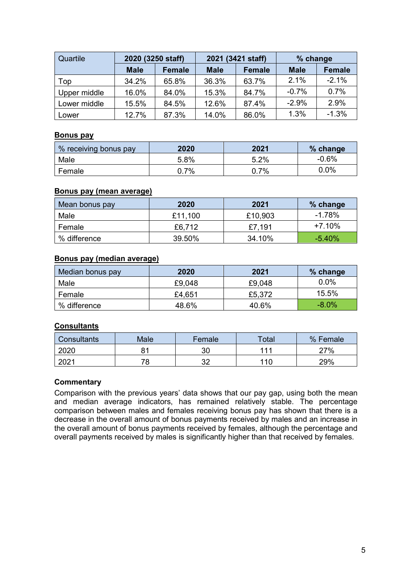| Quartile     | 2020 (3250 staff) |               | 2021 (3421 staff) |               | % change    |               |
|--------------|-------------------|---------------|-------------------|---------------|-------------|---------------|
|              | <b>Male</b>       | <b>Female</b> | <b>Male</b>       | <b>Female</b> | <b>Male</b> | <b>Female</b> |
| Top          | 34.2%             | 65.8%         | 36.3%             | 63.7%         | 2.1%        | $-2.1%$       |
| Upper middle | 16.0%             | 84.0%         | 15.3%             | 84.7%         | $-0.7%$     | 0.7%          |
| Lower middle | 15.5%             | 84.5%         | 12.6%             | 87.4%         | $-2.9%$     | 2.9%          |
| Lower        | 12.7%             | 87.3%         | 14.0%             | 86.0%         | 1.3%        | $-1.3%$       |

## **Bonus pay**

| % receiving bonus pay | 2020 | 2021 | % change |  |
|-----------------------|------|------|----------|--|
| Male                  | 5.8% | 5.2% | $-0.6%$  |  |
| Female                | 7%   | 7%   | $0.0\%$  |  |

#### **Bonus pay (mean average)**

| Mean bonus pay  | 2020    | 2021    | % change  |
|-----------------|---------|---------|-----------|
| Male            | £11,100 | £10,903 | $-1.78\%$ |
| Female          | £6,712  | £7,191  | $+7.10%$  |
| $\%$ difference | 39.50%  | 34.10%  | $-5.40%$  |

#### **Bonus pay (median average)**

| Median bonus pay | 2020   | 2021   | % change |  |
|------------------|--------|--------|----------|--|
| Male             | £9,048 | £9,048 | $0.0\%$  |  |
| Female           | £4,651 | £5,372 | 15.5%    |  |
| % difference     | 48.6%  | 40.6%  | $-8.0\%$ |  |

## **Consultants**

| Consultants | Male     | Female | Total | % Female |
|-------------|----------|--------|-------|----------|
| 2020        | 81       |        | 111   | 27%      |
| 2021        | 72<br>്ധ | ົ      | 110   | 29%      |

#### **Commentary**

Comparison with the previous years' data shows that our pay gap, using both the mean and median average indicators, has remained relatively stable. The percentage comparison between males and females receiving bonus pay has shown that there is a decrease in the overall amount of bonus payments received by males and an increase in the overall amount of bonus payments received by females, although the percentage and overall payments received by males is significantly higher than that received by females.